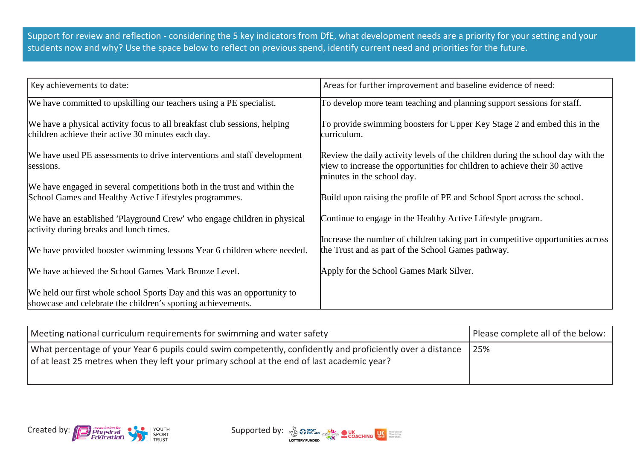Support for review and reflection - considering the 5 key indicators from DfE, what development needs are a priority for your setting and your students now and why? Use the space below to reflect on previous spend, identify current need and priorities for the future.

| Key achievements to date:                                                                                                                | Areas for further improvement and baseline evidence of need:                                                                                                                                |
|------------------------------------------------------------------------------------------------------------------------------------------|---------------------------------------------------------------------------------------------------------------------------------------------------------------------------------------------|
| We have committed to upskilling our teachers using a PE specialist.                                                                      | To develop more team teaching and planning support sessions for staff.                                                                                                                      |
| We have a physical activity focus to all breakfast club sessions, helping<br>children achieve their active 30 minutes each day.          | To provide swimming boosters for Upper Key Stage 2 and embed this in the<br>curriculum.                                                                                                     |
| We have used PE assessments to drive interventions and staff development<br>sessions.                                                    | Review the daily activity levels of the children during the school day with the<br>view to increase the opportunities for children to achieve their 30 active<br>minutes in the school day. |
| We have engaged in several competitions both in the trust and within the<br>School Games and Healthy Active Lifestyles programmes.       | Build upon raising the profile of PE and School Sport across the school.                                                                                                                    |
| We have an established 'Playground Crew' who engage children in physical<br>activity during breaks and lunch times.                      | Continue to engage in the Healthy Active Lifestyle program.<br>Increase the number of children taking part in competitive opportunities across                                              |
| We have provided booster swimming lessons Year 6 children where needed.                                                                  | the Trust and as part of the School Games pathway.                                                                                                                                          |
| We have achieved the School Games Mark Bronze Level.                                                                                     | Apply for the School Games Mark Silver.                                                                                                                                                     |
| We held our first whole school Sports Day and this was an opportunity to<br>showcase and celebrate the children's sporting achievements. |                                                                                                                                                                                             |

| Meeting national curriculum requirements for swimming and water safety                                                                                                                                   | Please complete all of the below: |
|----------------------------------------------------------------------------------------------------------------------------------------------------------------------------------------------------------|-----------------------------------|
| What percentage of your Year 6 pupils could swim competently, confidently and proficiently over a distance<br>of at least 25 metres when they left your primary school at the end of last academic year? | 25%                               |



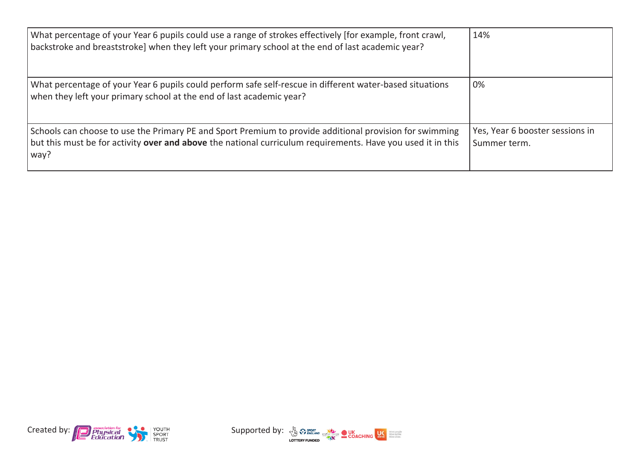| What percentage of your Year 6 pupils could use a range of strokes effectively [for example, front crawl,<br>[backstroke and breaststroke] when they left your primary school at the end of last academic year?                       | 14%                                             |
|---------------------------------------------------------------------------------------------------------------------------------------------------------------------------------------------------------------------------------------|-------------------------------------------------|
| What percentage of your Year 6 pupils could perform safe self-rescue in different water-based situations<br>when they left your primary school at the end of last academic year?                                                      | 0%                                              |
| Schools can choose to use the Primary PE and Sport Premium to provide additional provision for swimming<br>but this must be for activity <b>over and above</b> the national curriculum requirements. Have you used it in this<br>way? | Yes, Year 6 booster sessions in<br>Summer term. |



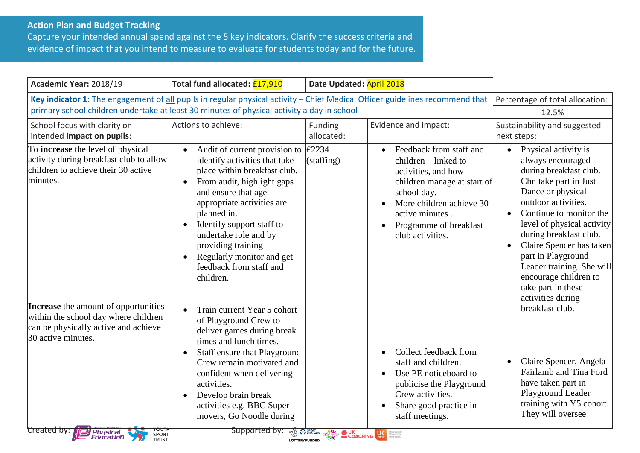## **Action Plan and Budget Tracking**

Capture your intended annual spend against the 5 key indicators. Clarify the success criteria and evidence of impact that you intend to measure to evaluate for students today and for the future.

| Academic Year: 2018/19                                                                                                                                                                                                                                         | Total fund allocated: £17,910                                                                                                                                                                                                                                                                                                                                                                                                                                              | Date Updated: April 2018                                                                                                                                                                                                             |                                                                                                                                                                                                                                |                                                                                                                                                                                                                                                                                                                                                                                                                             |
|----------------------------------------------------------------------------------------------------------------------------------------------------------------------------------------------------------------------------------------------------------------|----------------------------------------------------------------------------------------------------------------------------------------------------------------------------------------------------------------------------------------------------------------------------------------------------------------------------------------------------------------------------------------------------------------------------------------------------------------------------|--------------------------------------------------------------------------------------------------------------------------------------------------------------------------------------------------------------------------------------|--------------------------------------------------------------------------------------------------------------------------------------------------------------------------------------------------------------------------------|-----------------------------------------------------------------------------------------------------------------------------------------------------------------------------------------------------------------------------------------------------------------------------------------------------------------------------------------------------------------------------------------------------------------------------|
| Key indicator 1: The engagement of all pupils in regular physical activity - Chief Medical Officer guidelines recommend that<br>primary school children undertake at least 30 minutes of physical activity a day in school                                     | Percentage of total allocation:<br>12.5%                                                                                                                                                                                                                                                                                                                                                                                                                                   |                                                                                                                                                                                                                                      |                                                                                                                                                                                                                                |                                                                                                                                                                                                                                                                                                                                                                                                                             |
| School focus with clarity on<br>intended impact on pupils:                                                                                                                                                                                                     | Actions to achieve:                                                                                                                                                                                                                                                                                                                                                                                                                                                        | Funding<br>allocated:                                                                                                                                                                                                                | Evidence and impact:                                                                                                                                                                                                           | Sustainability and suggested<br>next steps:                                                                                                                                                                                                                                                                                                                                                                                 |
| To <b>increase</b> the level of physical<br>activity during breakfast club to allow<br>children to achieve their 30 active<br>minutes.<br>Increase the amount of opportunities<br>within the school day where children<br>can be physically active and achieve | Audit of current provision to<br>$\bullet$<br>identify activities that take<br>place within breakfast club.<br>From audit, highlight gaps<br>$\bullet$<br>and ensure that age<br>appropriate activities are<br>planned in.<br>Identify support staff to<br>$\bullet$<br>undertake role and by<br>providing training<br>Regularly monitor and get<br>$\bullet$<br>feedback from staff and<br>children.<br>Train current Year 5 cohort<br>$\bullet$<br>of Playground Crew to | £2234<br>(statfing)                                                                                                                                                                                                                  | Feedback from staff and<br>$\bullet$<br>children - linked to<br>activities, and how<br>children manage at start of<br>school day.<br>More children achieve 30<br>active minutes.<br>Programme of breakfast<br>club activities. | Physical activity is<br>$\bullet$<br>always encouraged<br>during breakfast club.<br>Chn take part in Just<br>Dance or physical<br>outdoor activities.<br>Continue to monitor the<br>level of physical activity<br>during breakfast club.<br>Claire Spencer has taken<br>$\bullet$<br>part in Playground<br>Leader training. She will<br>encourage children to<br>take part in these<br>activities during<br>breakfast club. |
| 30 active minutes.<br>Created by:<br><b>Physical</b><br>Education<br>SPORT                                                                                                                                                                                     | deliver games during break<br>times and lunch times.<br>Staff ensure that Playground<br>$\bullet$<br>Crew remain motivated and<br>confident when delivering<br>activities.<br>Develop brain break<br>$\bullet$<br>activities e.g. BBC Super<br>movers, Go Noodle during<br>Supported by:                                                                                                                                                                                   | <b>TAS PENGLAND CONCERNER OF DESCRIPTION OF A RESIDENCE CONCERNER CONCERNER CONCERNER CONCERNER CONCERNER CONCERNER CONCERNER CONCERNER CONCERNER CONCERNER CONCERNER CONCERNER CONCERNER CONCERNER CONCERNER CONCERNER CONCERNE</b> | Collect feedback from<br>$\bullet$<br>staff and children.<br>Use PE noticeboard to<br>publicise the Playground<br>Crew activities.<br>Share good practice in<br>staff meetings.                                                | Claire Spencer, Angela<br>Fairlamb and Tina Ford<br>have taken part in<br>Playground Leader<br>training with Y5 cohort.<br>They will oversee                                                                                                                                                                                                                                                                                |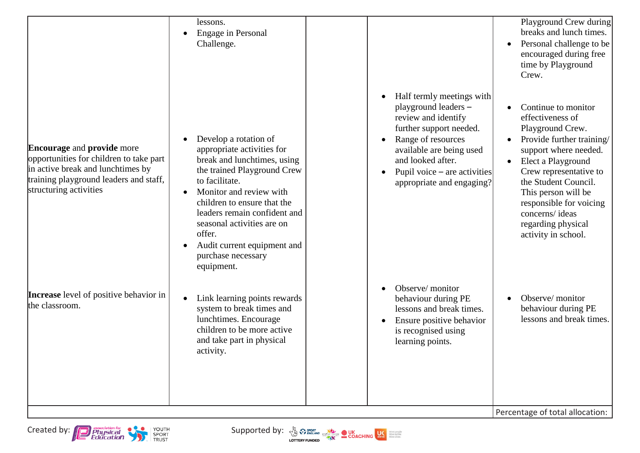|                                                                                                                                                                                       | lessons.<br>Engage in Personal<br>Challenge.                                                                                                                                                                                                                                                                                                                       |                                                                                                                                                                                                                                           | Playground Crew during<br>breaks and lunch times.<br>Personal challenge to be<br>encouraged during free<br>time by Playground<br>Crew.                                                                                                                                                                     |
|---------------------------------------------------------------------------------------------------------------------------------------------------------------------------------------|--------------------------------------------------------------------------------------------------------------------------------------------------------------------------------------------------------------------------------------------------------------------------------------------------------------------------------------------------------------------|-------------------------------------------------------------------------------------------------------------------------------------------------------------------------------------------------------------------------------------------|------------------------------------------------------------------------------------------------------------------------------------------------------------------------------------------------------------------------------------------------------------------------------------------------------------|
| <b>Encourage and provide more</b><br>opportunities for children to take part<br>in active break and lunchtimes by<br>training playground leaders and staff,<br>structuring activities | Develop a rotation of<br>appropriate activities for<br>break and lunchtimes, using<br>the trained Playground Crew<br>to facilitate.<br>Monitor and review with<br>$\bullet$<br>children to ensure that the<br>leaders remain confident and<br>seasonal activities are on<br>offer.<br>Audit current equipment and<br>$\bullet$<br>purchase necessary<br>equipment. | Half termly meetings with<br>playground leaders -<br>review and identify<br>further support needed.<br>Range of resources<br>available are being used<br>and looked after.<br>Pupil voice $-$ are activities<br>appropriate and engaging? | Continue to monitor<br>effectiveness of<br>Playground Crew.<br>Provide further training/<br>support where needed.<br>Elect a Playground<br>Crew representative to<br>the Student Council.<br>This person will be<br>responsible for voicing<br>concerns/ideas<br>regarding physical<br>activity in school. |
| <b>Increase</b> level of positive behavior in<br>the classroom.                                                                                                                       | Link learning points rewards<br>$\bullet$<br>system to break times and<br>lunchtimes. Encourage<br>children to be more active<br>and take part in physical<br>activity.                                                                                                                                                                                            | Observe/monitor<br>behaviour during PE<br>lessons and break times.<br>Ensure positive behavior<br>is recognised using<br>learning points.                                                                                                 | Observe/monitor<br>behaviour during PE<br>lessons and break times.                                                                                                                                                                                                                                         |
|                                                                                                                                                                                       |                                                                                                                                                                                                                                                                                                                                                                    |                                                                                                                                                                                                                                           | Percentage of total allocation:                                                                                                                                                                                                                                                                            |

Created by: Physical Physical Supported by:  $\frac{1}{2}$  Concring US CONCRETE Supported by:  $\frac{1}{2}$  CONCRETE SCACHING





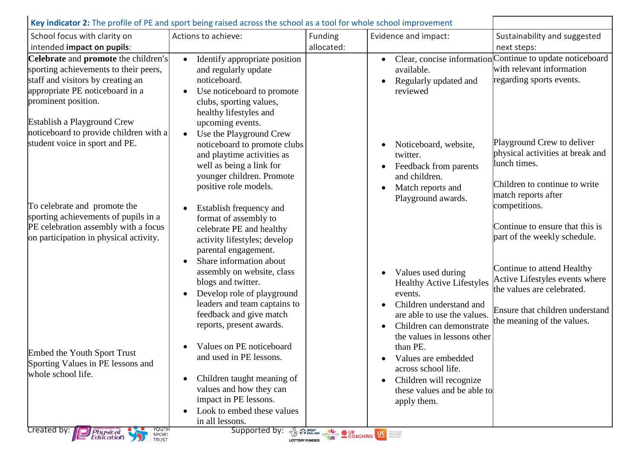| School focus with clarity on                                                                                                                                                 | Actions to achieve:                                                                                                                                                                                                 | Funding    | Evidence and impact:                                                                                                                                             | Sustainability and suggested                                                                                                                     |
|------------------------------------------------------------------------------------------------------------------------------------------------------------------------------|---------------------------------------------------------------------------------------------------------------------------------------------------------------------------------------------------------------------|------------|------------------------------------------------------------------------------------------------------------------------------------------------------------------|--------------------------------------------------------------------------------------------------------------------------------------------------|
| intended impact on pupils:                                                                                                                                                   |                                                                                                                                                                                                                     | allocated: |                                                                                                                                                                  | next steps:                                                                                                                                      |
| Celebrate and promote the children's<br>sporting achievements to their peers,<br>staff and visitors by creating an<br>appropriate PE noticeboard in a<br>prominent position. | Identify appropriate position<br>$\bullet$<br>and regularly update<br>noticeboard.<br>Use noticeboard to promote<br>clubs, sporting values,<br>healthy lifestyles and                                               |            | available.<br>Regularly updated and<br>reviewed                                                                                                                  | Clear, concise information Continue to update noticeboard<br>with relevant information<br>regarding sports events.                               |
| Establish a Playground Crew<br>noticeboard to provide children with a<br>student voice in sport and PE.                                                                      | upcoming events.<br>Use the Playground Crew<br>noticeboard to promote clubs<br>and playtime activities as<br>well as being a link for<br>younger children. Promote<br>positive role models.                         |            | Noticeboard, website,<br>twitter.<br>Feedback from parents<br>and children.<br>Match reports and                                                                 | Playground Crew to deliver<br>physical activities at break and<br>lunch times.<br>Children to continue to write<br>match reports after           |
| To celebrate and promote the<br>sporting achievements of pupils in a<br>PE celebration assembly with a focus<br>on participation in physical activity.                       | Establish frequency and<br>format of assembly to<br>celebrate PE and healthy<br>activity lifestyles; develop<br>parental engagement.<br>Share information about<br>assembly on website, class<br>blogs and twitter. |            | Playground awards.<br>Values used during                                                                                                                         | competitions.<br>Continue to ensure that this is<br>part of the weekly schedule.<br>Continue to attend Healthy<br>Active Lifestyles events where |
|                                                                                                                                                                              | Develop role of playground<br>leaders and team captains to<br>feedback and give match<br>reports, present awards.                                                                                                   |            | <b>Healthy Active Lifestyles</b><br>events.<br>Children understand and<br>are able to use the values.<br>Children can demonstrate<br>the values in lessons other | the values are celebrated.<br>Ensure that children understand<br>the meaning of the values.                                                      |
| Embed the Youth Sport Trust<br>Sporting Values in PE lessons and<br>whole school life.                                                                                       | Values on PE noticeboard<br>and used in PE lessons.<br>Children taught meaning of<br>$\bullet$<br>values and how they can<br>impact in PE lessons.<br>Look to embed these values<br>in all lessons.                 |            | than PE.<br>Values are embedded<br>across school life.<br>Children will recognize<br>these values and be able to<br>apply them.                                  |                                                                                                                                                  |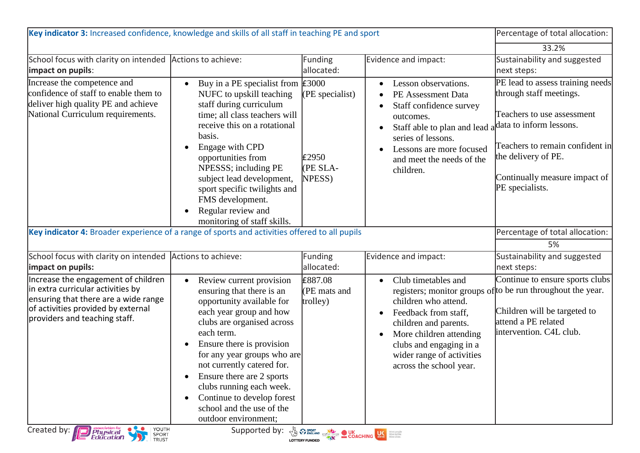| Key indicator 3: Increased confidence, knowledge and skills of all staff in teaching PE and sport                                                                                       |                                                                                                                                                                                                                                                                                                                                                                                                                                                     |                                                  | Percentage of total allocation:                                                                                                                                                                                              |                                                                                                                                                                                                                                    |
|-----------------------------------------------------------------------------------------------------------------------------------------------------------------------------------------|-----------------------------------------------------------------------------------------------------------------------------------------------------------------------------------------------------------------------------------------------------------------------------------------------------------------------------------------------------------------------------------------------------------------------------------------------------|--------------------------------------------------|------------------------------------------------------------------------------------------------------------------------------------------------------------------------------------------------------------------------------|------------------------------------------------------------------------------------------------------------------------------------------------------------------------------------------------------------------------------------|
|                                                                                                                                                                                         |                                                                                                                                                                                                                                                                                                                                                                                                                                                     |                                                  |                                                                                                                                                                                                                              | 33.2%                                                                                                                                                                                                                              |
| School focus with clarity on intended<br>impact on pupils:                                                                                                                              | Actions to achieve:                                                                                                                                                                                                                                                                                                                                                                                                                                 | <b>Funding</b><br>allocated:                     | Evidence and impact:                                                                                                                                                                                                         | Sustainability and suggested<br>next steps:                                                                                                                                                                                        |
| Increase the competence and<br>confidence of staff to enable them to<br>deliver high quality PE and achieve<br>National Curriculum requirements.                                        | Buy in a PE specialist from $\text{\pounds}3000$<br>$\bullet$<br>NUFC to upskill teaching<br>staff during curriculum<br>time; all class teachers will<br>receive this on a rotational<br>basis.<br>Engage with CPD<br>$\bullet$<br>opportunities from<br>NPESSS; including PE<br>subject lead development,<br>sport specific twilights and<br>FMS development.<br>Regular review and<br>$\bullet$<br>monitoring of staff skills.                    | $(PE$ specialist)<br>£2950<br>(PE SLA-<br>NPESS) | Lesson observations.<br>$\bullet$<br>PE Assessment Data<br>Staff confidence survey<br>outcomes.<br>Staff able to plan and lead a<br>series of lessons.<br>Lessons are more focused<br>and meet the needs of the<br>children. | PE lead to assess training needs<br>through staff meetings.<br>Teachers to use assessment<br>data to inform lessons.<br>Teachers to remain confident in<br>the delivery of PE.<br>Continually measure impact of<br>PE specialists. |
| Key indicator 4: Broader experience of a range of sports and activities offered to all pupils                                                                                           |                                                                                                                                                                                                                                                                                                                                                                                                                                                     |                                                  |                                                                                                                                                                                                                              | Percentage of total allocation:<br>5%                                                                                                                                                                                              |
| School focus with clarity on intended<br>impact on pupils:                                                                                                                              | Actions to achieve:                                                                                                                                                                                                                                                                                                                                                                                                                                 | Funding<br>allocated:                            | Evidence and impact:                                                                                                                                                                                                         | Sustainability and suggested<br>next steps:                                                                                                                                                                                        |
| Increase the engagement of children<br>in extra curricular activities by<br>ensuring that there are a wide range<br>of activities provided by external<br>providers and teaching staff. | Review current provision<br>$\bullet$<br>ensuring that there is an<br>opportunity available for<br>each year group and how<br>clubs are organised across<br>each term.<br>Ensure there is provision<br>$\bullet$<br>for any year groups who are<br>not currently catered for.<br>Ensure there are 2 sports<br>$\bullet$<br>clubs running each week.<br>Continue to develop forest<br>$\bullet$<br>school and the use of the<br>outdoor environment: | £887.08<br>(PE mats and<br>trolley)              | Club timetables and<br>$\bullet$<br>children who attend.<br>Feedback from staff,<br>children and parents.<br>More children attending<br>clubs and engaging in a<br>wider range of activities<br>across the school year.      | Continue to ensure sports clubs<br>registers; monitor groups of to be run throughout the year.<br>Children will be targeted to<br>attend a PE related<br>intervention. C4L club.                                                   |
| YOUTH<br>Created by: <b>Physical</b><br>Education<br>SPORT<br>TRUST                                                                                                                     | Supported by: 3 Presence COACHING                                                                                                                                                                                                                                                                                                                                                                                                                   |                                                  |                                                                                                                                                                                                                              |                                                                                                                                                                                                                                    |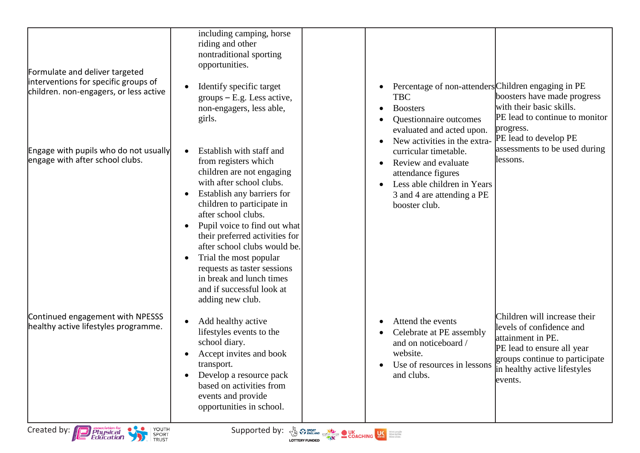| Formulate and deliver targeted<br>interventions for specific groups of<br>children. non-engagers, or less active | including camping, horse<br>riding and other<br>nontraditional sporting<br>opportunities.<br>Identify specific target<br>$groups - E.g. Less active,$<br>non-engagers, less able,<br>girls.                                                                                                                                                                                                                                                       | Percentage of non-attenders Children engaging in PE<br><b>TBC</b><br><b>Boosters</b><br>$\bullet$<br>Questionnaire outcomes<br>evaluated and acted upon.<br>New activities in the extra-                                             | boosters have made progress<br>with their basic skills.<br>PE lead to continue to monitor<br>progress.<br>PE lead to develop PE                                                          |
|------------------------------------------------------------------------------------------------------------------|---------------------------------------------------------------------------------------------------------------------------------------------------------------------------------------------------------------------------------------------------------------------------------------------------------------------------------------------------------------------------------------------------------------------------------------------------|--------------------------------------------------------------------------------------------------------------------------------------------------------------------------------------------------------------------------------------|------------------------------------------------------------------------------------------------------------------------------------------------------------------------------------------|
| Engage with pupils who do not usually<br>engage with after school clubs.                                         | Establish with staff and<br>from registers which<br>children are not engaging<br>with after school clubs.<br>Establish any barriers for<br>children to participate in<br>after school clubs.<br>Pupil voice to find out what<br>their preferred activities for<br>after school clubs would be.<br>Trial the most popular<br>$\bullet$<br>requests as taster sessions<br>in break and lunch times<br>and if successful look at<br>adding new club. | curricular timetable.<br>Review and evaluate<br>$\bullet$<br>attendance figures<br>Less able children in Years<br>3 and 4 are attending a PE<br>booster club.                                                                        | assessments to be used during<br>lessons.                                                                                                                                                |
| Continued engagement with NPESSS<br>healthy active lifestyles programme.                                         | Add healthy active<br>lifestyles events to the<br>school diary.<br>Accept invites and book<br>transport.<br>Develop a resource pack<br>based on activities from<br>events and provide<br>opportunities in school.                                                                                                                                                                                                                                 | Attend the events<br>$\bullet$<br>Celebrate at PE assembly<br>and on noticeboard /<br>website.<br>Use of resources in lessons<br>$\bullet$<br>and clubs.                                                                             | Children will increase their<br>levels of confidence and<br>attainment in PE.<br>PE lead to ensure all year<br>groups continue to participate<br>in healthy active lifestyles<br>events. |
| YOUTH<br>Created by:<br>association for<br>Physical<br>Education<br>SPORT<br>TRUST                               | Supported by:                                                                                                                                                                                                                                                                                                                                                                                                                                     | <b>All Sport Conditions OUK DESCRIPTION OF A RESIDENCE OF A RESIDENCE OF A RESIDENCE OF A RESIDENCE OF A RESIDENCE OF A RESIDENCE OF A RESIDENCE OF A RESIDENCE OF A RESIDENCE OF A RESIDENCE OF A RESIDENCE OF A RESIDENCE OF A</b> |                                                                                                                                                                                          |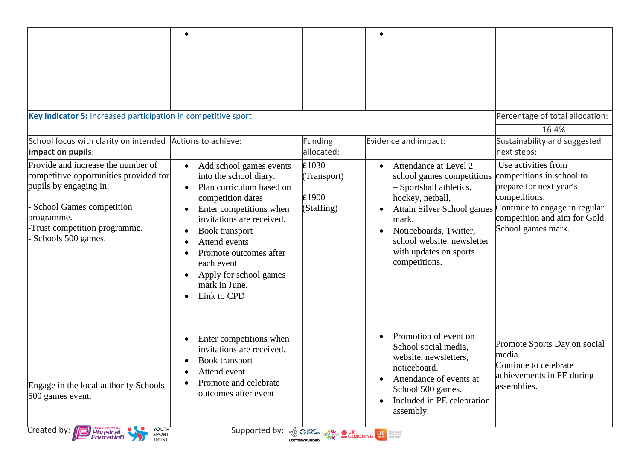| Key indicator 5: Increased participation in competitive sport                                                                                                                                          |                                                                                                                                                                                                                                                                                                                                                                         |                                                                                                                                                                                                                                      |                                                                                                                                                                                                                                                          | Percentage of total allocation:                                                                                                                                                     |
|--------------------------------------------------------------------------------------------------------------------------------------------------------------------------------------------------------|-------------------------------------------------------------------------------------------------------------------------------------------------------------------------------------------------------------------------------------------------------------------------------------------------------------------------------------------------------------------------|--------------------------------------------------------------------------------------------------------------------------------------------------------------------------------------------------------------------------------------|----------------------------------------------------------------------------------------------------------------------------------------------------------------------------------------------------------------------------------------------------------|-------------------------------------------------------------------------------------------------------------------------------------------------------------------------------------|
| School focus with clarity on intended Actions to achieve:<br>impact on pupils:                                                                                                                         |                                                                                                                                                                                                                                                                                                                                                                         | Funding<br>allocated:                                                                                                                                                                                                                | Evidence and impact:                                                                                                                                                                                                                                     | 16.4%<br>Sustainability and suggested<br>next steps:                                                                                                                                |
| Provide and increase the number of<br>competitive opportunities provided for<br>pupils by engaging in:<br>School Games competition<br>programme.<br>Trust competition programme.<br>Schools 500 games. | Add school games events<br>$\bullet$<br>into the school diary.<br>Plan curriculum based on<br>$\bullet$<br>competition dates<br>Enter competitions when<br>invitations are received.<br><b>Book</b> transport<br>$\bullet$<br>Attend events<br>Promote outcomes after<br>each event<br>Apply for school games<br>$\bullet$<br>mark in June.<br>Link to CPD<br>$\bullet$ | E1030<br>(Transport)<br>£1900<br>(Staffing)                                                                                                                                                                                          | Attendance at Level 2<br>$\bullet$<br>school games competitions<br>- Sportshall athletics,<br>hockey, netball,<br>Attain Silver School games<br>mark.<br>Noticeboards, Twitter,<br>school website, newsletter<br>with updates on sports<br>competitions. | Use activities from<br>competitions in school to<br>prepare for next year's<br>competitions.<br>Continue to engage in regular<br>competition and aim for Gold<br>School games mark. |
| Engage in the local authority Schools<br>500 games event.<br>Created by:<br>YOUTH                                                                                                                      | Enter competitions when<br>$\bullet$<br>invitations are received.<br><b>Book transport</b><br>$\bullet$<br>Attend event<br>$\bullet$<br>Promote and celebrate<br>outcomes after event<br>Supported by:                                                                                                                                                                  | <b>EXECUTE AND CONCEPTION CONCEPTING CONCEPTION CONCEPTION CONCEPTION CONCEPTION CONCEPTION CONCEPTION CONCEPTION CONCEPTION CONCEPTION CONCEPTION CONCEPTION CONCEPTION CONCEPTION CONCEPTION CONCEPTION CONCEPTION CONCEPTION </b> | Promotion of event on<br>School social media,<br>website, newsletters,<br>noticeboard.<br>Attendance of events at<br>School 500 games.<br>Included in PE celebration<br>assembly.                                                                        | Promote Sports Day on social<br>media.<br>Continue to celebrate<br>achievements in PE during<br>assemblies.                                                                         |